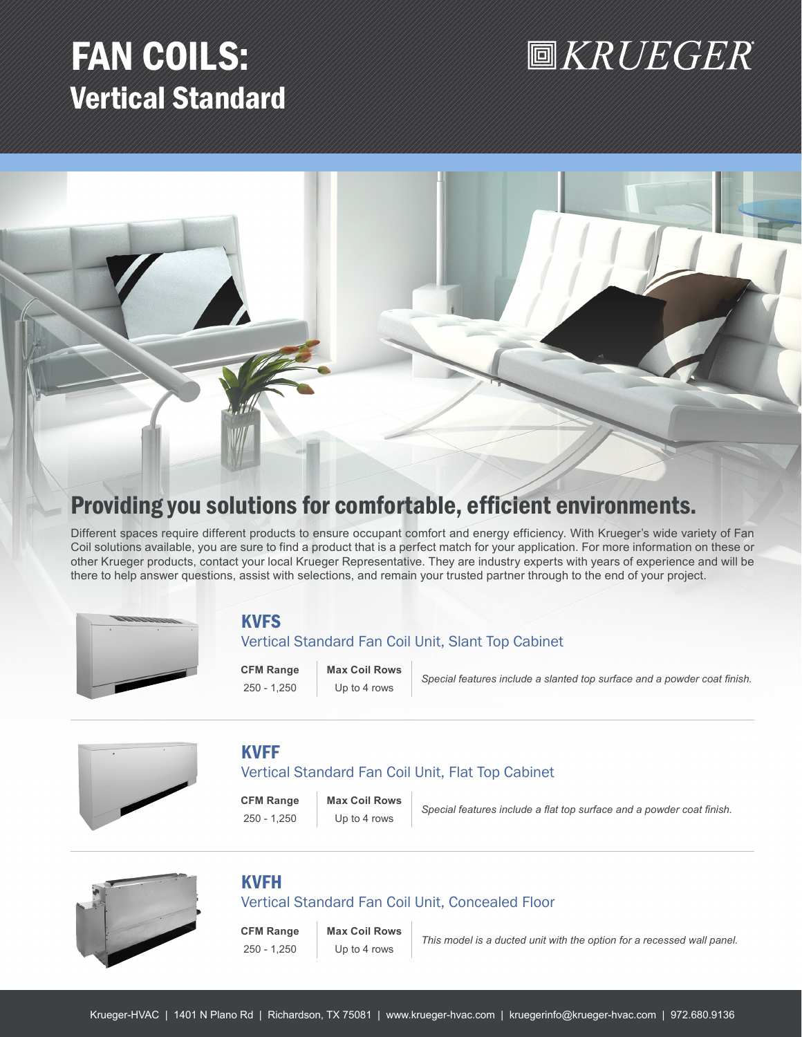## FAN COILS: Vertical Standard

## **圖KRUEGER**



## Providing you solutions for comfortable, efficient environments.

Different spaces require different products to ensure occupant comfort and energy efficiency. With Krueger's wide variety of Fan Coil solutions available, you are sure to find a product that is a perfect match for your application. For more information on these or other Krueger products, contact your local Krueger Representative. They are industry experts with years of experience and will be there to help answer questions, assist with selections, and remain your trusted partner through to the end of your project.



## **KVFS**

### Vertical Standard Fan Coil Unit, Slant Top Cabinet

**CFM Range Max Coil Rows**

250 - 1,250 Up to 4 rows *Special features include a slanted top surface and a powder coat finish.*



## KVFF

### Vertical Standard Fan Coil Unit, Flat Top Cabinet

**CFM Range Max Coil Rows**

250 - 1,250 Up to 4 rows *Special features include a flat top surface and a powder coat finish.*



## KVFH

### Vertical Standard Fan Coil Unit, Concealed Floor

**CFM Range Max Coil Rows**

250 - 1,250 Up to 4 rows *This model is a ducted unit with the option for a recessed wall panel.*